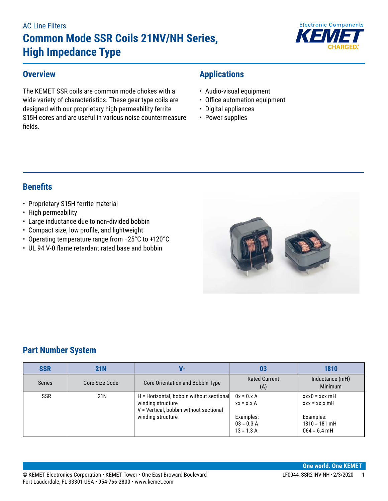# AC Line Filters **Common Mode SSR Coils 21NV/NH Series, High Impedance Type**



#### **Overview**

The KEMET SSR coils are common mode chokes with a wide variety of characteristics. These gear type coils are designed with our proprietary high permeability ferrite S15H cores and are useful in various noise countermeasure fields.

## **Applications**

- Audio-visual equipment
- Office automation equipment
- Digital appliances
- Power supplies

## **Benefits**

- Proprietary S15H ferrite material
- High permeability
- Large inductance due to non-divided bobbin
- • Compact size, low profile, and lightweight
- • Operating temperature range from −25°C to +120°C
- UL 94 V-0 flame retardant rated base and bobbin



## **Part Number System**

| <b>SSR</b>    | 21N            | V-                                                                                                      | 03                                        | 1810                                           |
|---------------|----------------|---------------------------------------------------------------------------------------------------------|-------------------------------------------|------------------------------------------------|
| <b>Series</b> | Core Size Code | Core Orientation and Bobbin Type                                                                        | <b>Rated Current</b><br>(A)               | Inductance (mH)<br><b>Minimum</b>              |
| <b>SSR</b>    | 21N            | H = Horizontal, bobbin without sectional<br>winding structure<br>V = Vertical, bobbin without sectional | $0x = 0.x A$<br>$xx = x.x A$              | $xxx0 = xxx$ mH<br>$XXX = XX.X \, mH$          |
|               |                | winding structure                                                                                       | Examples:<br>$03 = 0.3 A$<br>$13 = 1.3 A$ | Examples:<br>$1810 = 181$ mH<br>$064 = 6.4$ mH |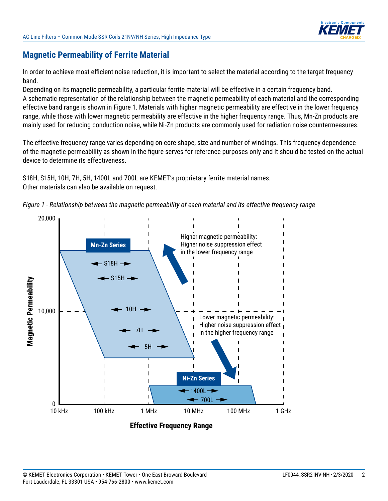

## **Magnetic Permeability of Ferrite Material**

In order to achieve most efficient noise reduction, it is important to select the material according to the target frequency band.

Depending on its magnetic permeability, a particular ferrite material will be effective in a certain frequency band. A schematic representation of the relationship between the magnetic permeability of each material and the corresponding effective band range is shown in Figure 1. Materials with higher magnetic permeability are effective in the lower frequency range, while those with lower magnetic permeability are effective in the higher frequency range. Thus, Mn-Zn products are mainly used for reducing conduction noise, while Ni-Zn products are commonly used for radiation noise countermeasures.

The effective frequency range varies depending on core shape, size and number of windings. This frequency dependence of the magnetic permeability as shown in the figure serves for reference purposes only and it should be tested on the actual device to determine its effectiveness.

S18H, S15H, 10H, 7H, 5H, 1400L and 700L are KEMET's proprietary ferrite material names. Other materials can also be available on request.



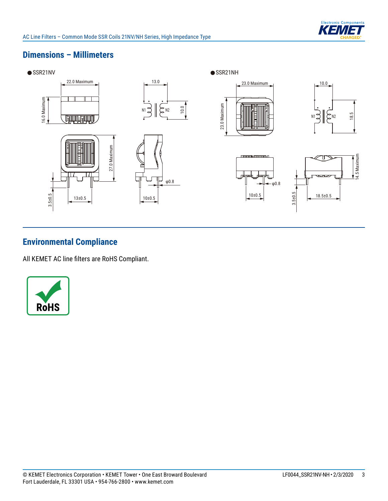

### **Dimensions – Millimeters**



## **Environmental Compliance**

All KEMET AC line filters are RoHS Compliant.

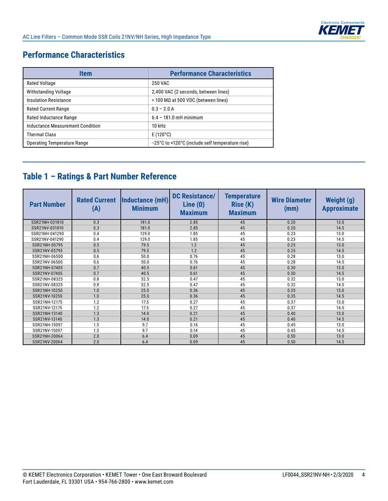

## **Performance Characteristics**

| Item                               | <b>Performance Characteristics</b>              |
|------------------------------------|-------------------------------------------------|
| Rated Voltage                      | 250 VAC                                         |
| Withstanding Voltage               | 2,400 VAC (2 seconds, between lines)            |
| <b>Insulation Resistance</b>       | $>$ 100 MΩ at 500 VDC (between lines)           |
| <b>Rated Current Range</b>         | $0.3 - 2.0 A$                                   |
| Rated Inductance Range             | $6.4 - 181.0$ mH minimum                        |
| Inductance Measurement Condition   | $10$ kHz                                        |
| <b>Thermal Class</b>               | $E(120^{\circ}C)$                               |
| <b>Operating Temperature Range</b> | -25°C to +120°C (include self temperature rise) |

## **Table 1 – Ratings & Part Number Reference**

| <b>Part Number</b> | <b>Rated Current</b><br>(A) | Inductance (mH)<br><b>Minimum</b> | <b>DC Resistance/</b><br>Line $(\Omega)$<br><b>Maximum</b> | <b>Temperature</b><br><b>Rise (K)</b><br><b>Maximum</b> | <b>Wire Diameter</b><br>(mm) | <b>Weight (g)</b><br><b>Approximate</b> |
|--------------------|-----------------------------|-----------------------------------|------------------------------------------------------------|---------------------------------------------------------|------------------------------|-----------------------------------------|
| SSR21NH-031810     | 0.3                         | 181.0                             | 2.85                                                       | 45                                                      | 0.20                         | 13.0                                    |
| SSR21NV-031810     | 0.3                         | 181.0                             | 2.85                                                       | 45                                                      | 0.20                         | 14.5                                    |
| SSR21NH-041290     | 0.4                         | 129.0                             | 1.85                                                       | 45                                                      | 0.23                         | 13.0                                    |
| SSR21NV-041290     | 0.4                         | 129.0                             | 1.85                                                       | 45                                                      | 0.23                         | 14.5                                    |
| SSR21NH-05795      | 0.5                         | 79.5                              | 1.2                                                        | 45                                                      | 0.25                         | 13.0                                    |
| SSR21NV-05795      | 0.5                         | 79.5                              | 1.2                                                        | 45                                                      | 0.25                         | 14.5                                    |
| SSR21NH-06500      | 0.6                         | 50.0                              | 0.76                                                       | 45                                                      | 0.28                         | 13.0                                    |
| SSR21NV-06500      | 0.6                         | 50.0                              | 0.76                                                       | 45                                                      | 0.28                         | 14.5                                    |
| SSR21NH-07405      | 0.7                         | 40.5                              | 0.61                                                       | 45                                                      | 0.30                         | 13.0                                    |
| SSR21NV-07405      | 0.7                         | 40.5                              | 0.61                                                       | 45                                                      | 0.30                         | 14.5                                    |
| SSR21NH-08325      | 0.8                         | 32.5                              | 0.47                                                       | 45                                                      | 0.32                         | 13.0                                    |
| SSR21NV-08325      | 0.8                         | 32.5                              | 0.47                                                       | 45                                                      | 0.32                         | 14.5                                    |
| SSR21NH-10250      | 1.0                         | 25.0                              | 0.36                                                       | 45                                                      | 0.35                         | 13.0                                    |
| SSR21NV-10250      | 1.0                         | 25.0                              | 0.36                                                       | 45                                                      | 0.35                         | 14.5                                    |
| SSR21NH-12175      | 1.2                         | 17.5                              | 0.27                                                       | 45                                                      | 0.37                         | 13.0                                    |
| SSR21NV-12175      | 1.2                         | 17.5                              | 0.27                                                       | 45                                                      | 0.37                         | 14.5                                    |
| SSR21NH-13140      | 1.3                         | 14.0                              | 0.21                                                       | 45                                                      | 0.40                         | 13.0                                    |
| SSR21NV-13140      | 1.3                         | 14.0                              | 0.21                                                       | 45                                                      | 0.40                         | 14.5                                    |
| SSR21NH-15097      | 1.5                         | 9.7                               | 0.14                                                       | 45                                                      | 0.45                         | 13.0                                    |
| SSR21NV-15097      | 1.5                         | 9.7                               | 0.14                                                       | 45                                                      | 0.45                         | 14.5                                    |
| SSR21NH-20064      | 2.0                         | 6.4                               | 0.09                                                       | 45                                                      | 0.50                         | 13.0                                    |
| SSR21NV-20064      | 2.0                         | 6.4                               | 0.09                                                       | 45                                                      | 0.50                         | 14.5                                    |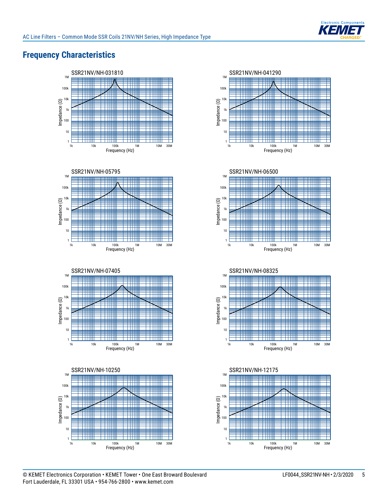

## **Frequency Characteristics**















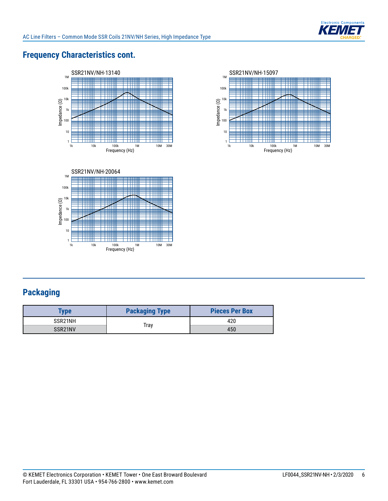

## **Frequency Characteristics cont.**





1k 10k 100k 1M 10M 30M<br>Frequency (Hz)



## **Packaging**

 $\frac{1}{1}$ 

Impedance (Ω)

| <b>Type</b>          | <b>Packaging Type</b> | <b>Pieces Per Box</b> |  |
|----------------------|-----------------------|-----------------------|--|
| SSR21NH              |                       | 420                   |  |
| SSR <sub>21</sub> NV | Trav                  | 450                   |  |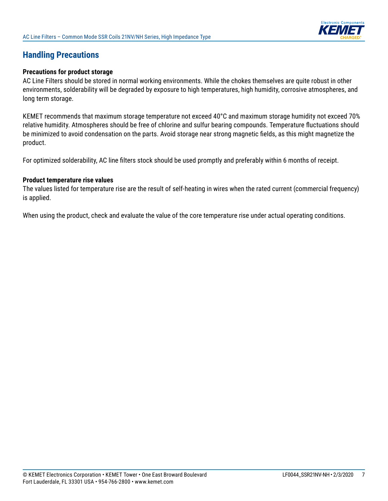

## **Handling Precautions**

#### **Precautions for product storage**

AC Line Filters should be stored in normal working environments. While the chokes themselves are quite robust in other environments, solderability will be degraded by exposure to high temperatures, high humidity, corrosive atmospheres, and long term storage.

KEMET recommends that maximum storage temperature not exceed 40°C and maximum storage humidity not exceed 70% relative humidity. Atmospheres should be free of chlorine and sulfur bearing compounds. Temperature fluctuations should be minimized to avoid condensation on the parts. Avoid storage near strong magnetic fields, as this might magnetize the product.

For optimized solderability, AC line filters stock should be used promptly and preferably within 6 months of receipt.

#### **Product temperature rise values**

The values listed for temperature rise are the result of self-heating in wires when the rated current (commercial frequency) is applied.

When using the product, check and evaluate the value of the core temperature rise under actual operating conditions.